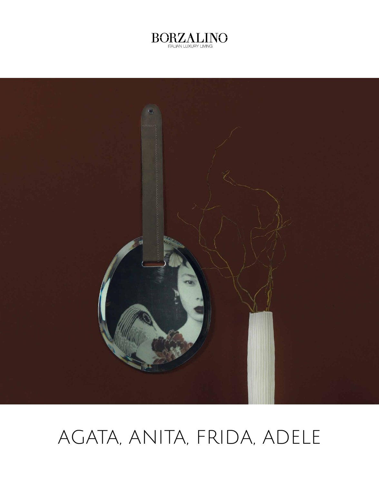



# AGATA, ANITA, FRIDA, ADELE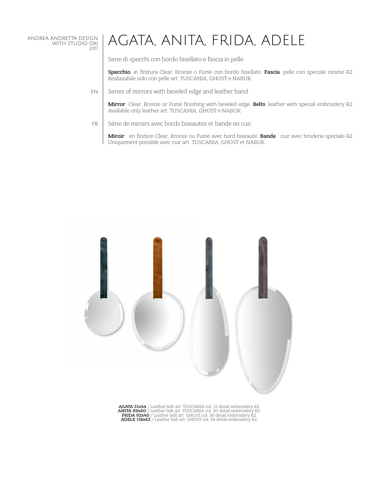#### ANDREA ANDRETTA DESIGN WITH STUDIO OXI 2017

## AGATA, ANITA, FRIDA, ADELE

Serie di specchi con bordo bisellato e fascia in pelle.

Specchio: in finitura Clear, Bronze o Fumé con bordo bisellato. Fascia: pelle con speciale ricamo R2. Realizzabile solo con pelle art. TUSCANIA, GHOST e NABUK.

Series of mirrors with beveled edge and leather band. EN

> Mirror: Clear, Bronze or Fumé finishing with beveled edge. Belts: leather with special embroidery R2. Available only leather art. TUSCANIA, GHOST e NABUK.

Série de miroirs avec bords biseautés et bande en cuir. FR

Miroir : en finition Clear, Bronze ou Fumé avec bord biseauté. Bande : cuir avec broderie spéciale R2. Uniquement possible avec cuir art. TUSCANIA, GHOST et NABUK.



AGATA 51x44 / Leather belt art. TUSCANIA col. 21 detail embroidery R2.<br>ANITA 69x60 / Leather belt art. TUSCANIA col. 20 detail embroidery R2.<br>FRIDA 92x40 / Leather belt art. GHOST col. 36 detail embroidery R2.<br>ADELE 118x62